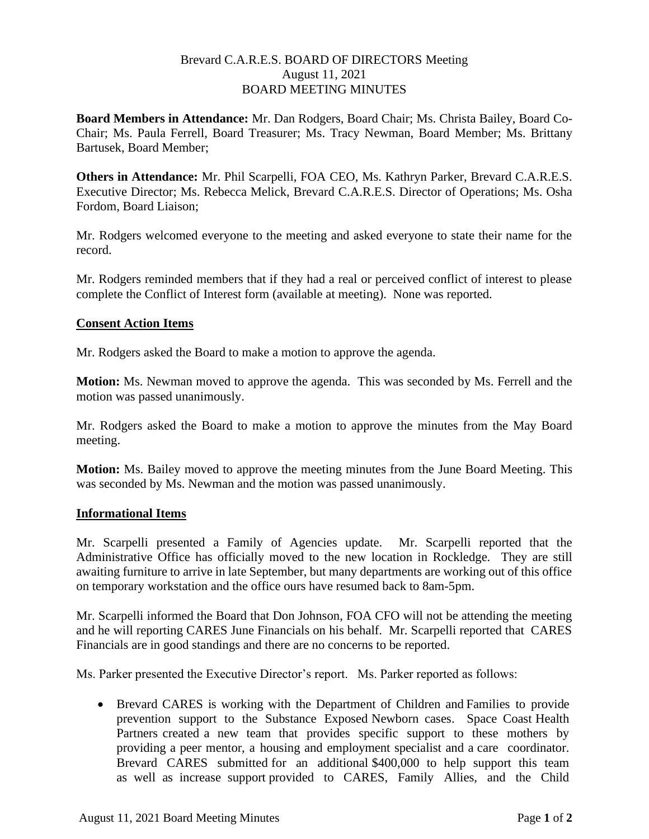### Brevard C.A.R.E.S. BOARD OF DIRECTORS Meeting August 11, 2021 BOARD MEETING MINUTES

**Board Members in Attendance:** Mr. Dan Rodgers, Board Chair; Ms. Christa Bailey, Board Co-Chair; Ms. Paula Ferrell, Board Treasurer; Ms. Tracy Newman, Board Member; Ms. Brittany Bartusek, Board Member;

**Others in Attendance:** Mr. Phil Scarpelli, FOA CEO, Ms. Kathryn Parker, Brevard C.A.R.E.S. Executive Director; Ms. Rebecca Melick, Brevard C.A.R.E.S. Director of Operations; Ms. Osha Fordom, Board Liaison;

Mr. Rodgers welcomed everyone to the meeting and asked everyone to state their name for the record.

Mr. Rodgers reminded members that if they had a real or perceived conflict of interest to please complete the Conflict of Interest form (available at meeting). None was reported.

### **Consent Action Items**

Mr. Rodgers asked the Board to make a motion to approve the agenda.

**Motion:** Ms. Newman moved to approve the agenda. This was seconded by Ms. Ferrell and the motion was passed unanimously.

Mr. Rodgers asked the Board to make a motion to approve the minutes from the May Board meeting.

**Motion:** Ms. Bailey moved to approve the meeting minutes from the June Board Meeting. This was seconded by Ms. Newman and the motion was passed unanimously.

#### **Informational Items**

Mr. Scarpelli presented a Family of Agencies update. Mr. Scarpelli reported that the Administrative Office has officially moved to the new location in Rockledge. They are still awaiting furniture to arrive in late September, but many departments are working out of this office on temporary workstation and the office ours have resumed back to 8am-5pm.

Mr. Scarpelli informed the Board that Don Johnson, FOA CFO will not be attending the meeting and he will reporting CARES June Financials on his behalf. Mr. Scarpelli reported that CARES Financials are in good standings and there are no concerns to be reported.

Ms. Parker presented the Executive Director's report. Ms. Parker reported as follows:

• Brevard CARES is working with the Department of Children and Families to provide prevention support to the Substance Exposed Newborn cases. Space Coast Health Partners created a new team that provides specific support to these mothers by providing a peer mentor, a housing and employment specialist and a care coordinator. Brevard CARES submitted for an additional \$400,000 to help support this team as well as increase support provided to CARES, Family Allies, and the Child